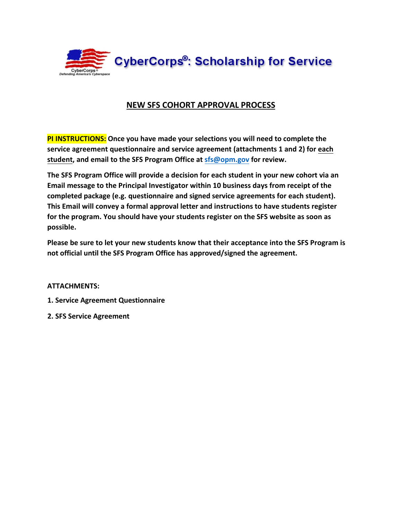

# **NEW SFS COHORT APPROVAL PROCESS**

**PI INSTRUCTIONS: Once you have made your selections you will need to complete the service agreement questionnaire and service agreement (attachments 1 and 2) for each student, and ema[il to the SFS Pro](mailto:sfs@opm.gov)gram Office at sfs@opm.gov for review.** 

**The SFS Program Office will provide a decision for each student in your new cohort via an Email message to the Principal Investigator within 10 business days from receipt of the completed package (e.g. questionnaire and signed service agreements for each student). This Email will convey a formal approval letter and instructions to have students register for the program. You should have your students register on the SFS website as soon as possible.** 

**Please be sure to let your new students know that their acceptance into the SFS Program is not official until the SFS Program Office has approved/signed the agreement.** 

**ATTACHMENTS:** 

- **1. Service Agreement Questionnaire**
- **2. SFS Service Agreement**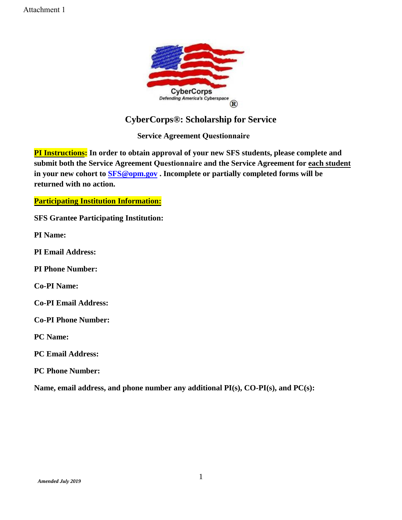

# **CyberCorps®: Scholarship for Service**

**Service Agreement Questionnaire**

**PI Instructions: In order to obtain approval of your new SFS students, please complete and submit both the Service Agreement Questionnaire and the Service Agreement for each student in your new cohort to [SFS@opm.go](mailto:SFS@opm.gov)v . Incomplete or partially completed forms will be returned with no action.** 

### **Participating Institution Information:**

**SFS Grantee Participating Institution:**

**PI Name:**

**PI Email Address:**

**PI Phone Number:**

**Co-PI Name:**

**Co-PI Email Address:**

**Co-PI Phone Number:**

**PC Name:**

**PC Email Address:**

**PC Phone Number:**

**Name, email address, and phone number any additional PI(s), CO-PI(s), and PC(s):**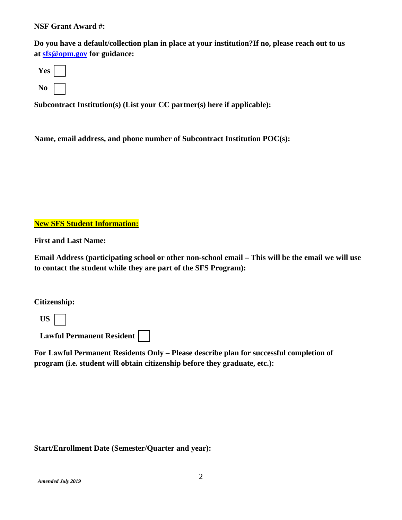#### **NSF Grant Award #:**

**Do you have a default/collection plan in place at your institution?If no, please reach out to us at [sfs@opm.gov](mailto:sfs@opm.gov) for guidance:** 



**Subcontract Institution(s) (List your CC partner(s) here if applicable):** 

**Name, email address, and phone number of Subcontract Institution POC(s):**

### **New SFS Student Information:**

**First and Last Name:**

**Email Address (participating school or other non-school email – This will be the email we will use to contact the student while they are part of the SFS Program):** 

**Citizenship:** 

 **US** 

 **Lawful Permanent Resident** 

**For Lawful Permanent Residents Only – Please describe plan for successful completion of program (i.e. student will obtain citizenship before they graduate, etc.):** 

#### **Start/Enrollment Date (Semester/Quarter and year):**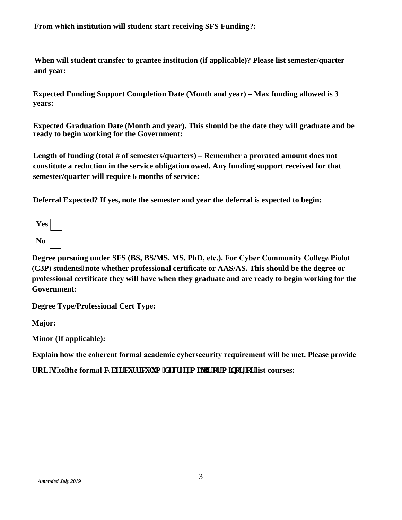**From which institution will student start receiving SFS Funding?:** 

**When will student transfer to grantee institution (if applicable)? Please list semester/quarter and year:** 

**Expected Funding Support Completion Date (Month and year) – Max funding allowed is 3 years:** 

**Expected Graduation Date (Month and year). This should be the date they will graduate and be ready to begin working for the Government:** 

Length of funding (total # of semesters/quarters) – Remember a prorated amount does not **constitute a reduction in the service obligation owed. Any funding support received for that semester/quarter will require 6 months of service:** 

**Deferral Expected? If yes, note the semester and year the deferral is expected to begin:** 

| es |  |
|----|--|
| No |  |

**Degree pursuing under SFS (BS, BS/MS, MS, PhD, etc.). For Cyber Community College Piolot (C3P) students note whether professional certificate or AAS/AS. This should be the degree or professional certificate they will have when they graduate and are ready to begin working for the Government:** 

**Degree Type/Professional Cert Type:** 

**Major:** 

**Minor (If applicable):** 

**Explain how the coherent formal academic cybersecurity requirement will be met. Please provide** 

URL<sup>\*</sup>u+'to'the formal e{ dgt 'ewttlewwo ff gitgg,'b clgt 'gt'b logt, 'gt'list courses: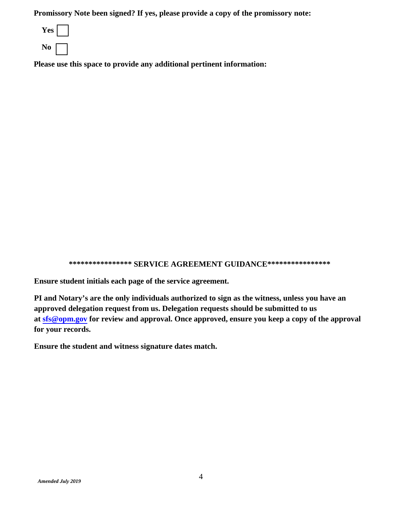**Promissory Note been signed? If yes, please provide a copy of the promissory note:**



**Please use this space to provide any additional pertinent information:** 

**\*\*\*\*\*\*\*\*\*\*\*\*\*\*\*\* SERVICE AGREEMENT GUIDANCE\*\*\*\*\*\*\*\*\*\*\*\*\*\*\*\*** 

**Ensure student initials each page of the service agreement.**

**PI and Notary's are the only individuals authorized to sign as the witness, unless you have an approved delegation request from us. Delegation requests should be submitted to us at [sfs@opm.gov](mailto:sfs@opm.gov) for review and approval. Once approved, ensure you keep a copy of the approval for your records.** 

**Ensure the student and witness signature dates match.**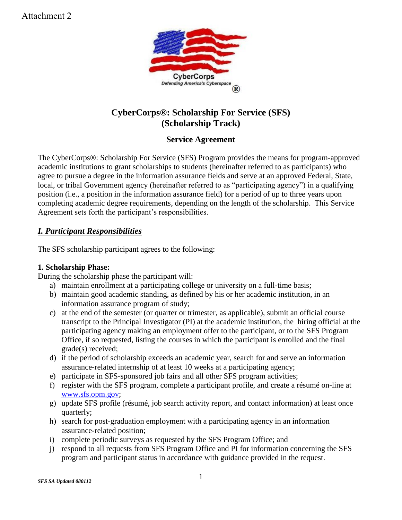

# **CyberCorps®: Scholarship For Service (SFS) (Scholarship Track)**

# **Service Agreement**

The CyberCorps®: Scholarship For Service (SFS) Program provides the means for program-approved academic institutions to grant scholarships to students (hereinafter referred to as participants) who agree to pursue a degree in the information assurance fields and serve at an approved Federal, State, local, or tribal Government agency (hereinafter referred to as "participating agency") in a qualifying position (i.e., a position in the information assurance field) for a period of up to three years upon completing academic degree requirements, depending on the length of the scholarship. This Service Agreement sets forth the participant's responsibilities.

## *I. Participant Responsibilities*

The SFS scholarship participant agrees to the following:

## **1. Scholarship Phase:**

During the scholarship phase the participant will:

- a) maintain enrollment at a participating college or university on a full-time basis;
- b) maintain good academic standing, as defined by his or her academic institution, in an information assurance program of study;
- c) at the end of the semester (or quarter or trimester, as applicable), submit an official course transcript to the Principal Investigator (PI) at the academic institution, the hiring official at the participating agency making an employment offer to the participant, or to the SFS Program Office, if so requested, listing the courses in which the participant is enrolled and the final grade(s) received;
- d) if the period of scholarship exceeds an academic year, search for and serve an information assurance-related internship of at least 10 weeks at a participating agency;
- e) participate in SFS-sponsored job fairs and all other SFS program activities;
- f) register with the SFS program, complete a participant profile, and create a résumé on-line at [www.sfs.opm.gov;](http://www.sfs.opm.gov/)
- g) update SFS profile (résumé, job search activity report, and contact information) at least once quarterly;
- h) search for post-graduation employment with a participating agency in an information assurance-related position;
- i) complete periodic surveys as requested by the SFS Program Office; and
- j) respond to all requests from SFS Program Office and PI for information concerning the SFS program and participant status in accordance with guidance provided in the request.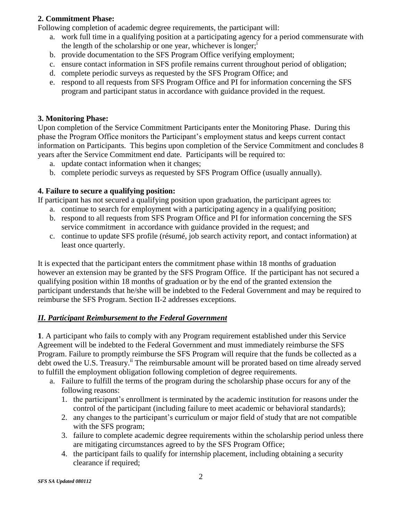### **2. Commitment Phase:**

Following completion of academic degree requirements, the participant will:

- a. work full time in a qualifying position at a participating agency for a period commensurate with the length of the scholarship or one year, whichever is longer;<sup>1</sup>
- b. provide documentation to the SFS Program Office verifying employment;
- c. ensure contact information in SFS profile remains current throughout period of obligation;
- d. complete periodic surveys as requested by the SFS Program Office; and
- e. respond to all requests from SFS Program Office and PI for information concerning the SFS program and participant status in accordance with guidance provided in the request.

### **3. Monitoring Phase:**

Upon completion of the Service Commitment Participants enter the Monitoring Phase. During this phase the Program Office monitors the Participant's employment status and keeps current contact information on Participants. This begins upon completion of the Service Commitment and concludes 8 years after the Service Commitment end date. Participants will be required to:

- a. update contact information when it changes;
- b. complete periodic surveys as requested by SFS Program Office (usually annually).

### **4. Failure to secure a qualifying position:**

If participant has not secured a qualifying position upon graduation, the participant agrees to:

- a. continue to search for employment with a participating agency in a qualifying position;
- b. respond to all requests from SFS Program Office and PI for information concerning the SFS service commitment in accordance with guidance provided in the request; and
- c. continue to update SFS profile (résumé, job search activity report, and contact information) at least once quarterly.

It is expected that the participant enters the commitment phase within 18 months of graduation however an extension may be granted by the SFS Program Office. If the participant has not secured a qualifying position within 18 months of graduation or by the end of the granted extension the participant understands that he/she will be indebted to the Federal Government and may be required to reimburse the SFS Program. Section II-2 addresses exceptions.

### *II. Participant Reimbursement to the Federal Government*

**1**. A participant who fails to comply with any Program requirement established under this Service Agreement will be indebted to the Federal Government and must immediately reimburse the SFS Program. Failure to promptly reimburse the SFS Program will require that the funds be collected as a debt owed the U.S. Treasury.<sup>ii</sup> The reimbursable amount will be prorated based on time already served to fulfill the employment obligation following completion of degree requirements.

- a. Failure to fulfill the terms of the program during the scholarship phase occurs for any of the following reasons:
	- 1. the participant's enrollment is terminated by the academic institution for reasons under the control of the participant (including failure to meet academic or behavioral standards);
	- 2. any changes to the participant's curriculum or major field of study that are not compatible with the SFS program;
	- 3. failure to complete academic degree requirements within the scholarship period unless there are mitigating circumstances agreed to by the SFS Program Office;
	- 4. the participant fails to qualify for internship placement, including obtaining a security clearance if required;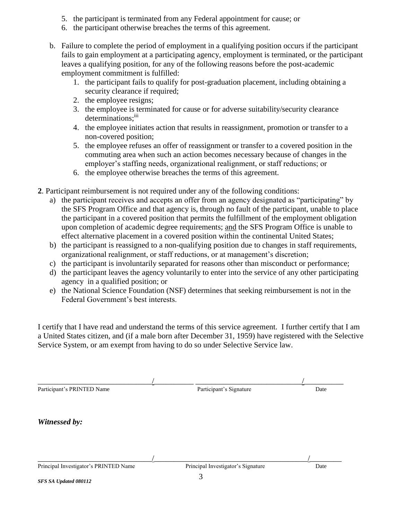- 5. the participant is terminated from any Federal appointment for cause; or
- 6. the participant otherwise breaches the terms of this agreement.
- b. Failure to complete the period of employment in a qualifying position occurs if the participant fails to gain employment at a participating agency, employment is terminated, or the participant leaves a qualifying position, for any of the following reasons before the post-academic employment commitment is fulfilled:
	- 1. the participant fails to qualify for post-graduation placement, including obtaining a security clearance if required;
	- 2. the employee resigns;
	- 3. the employee is terminated for cause or for adverse suitability/security clearance determinations;<sup>iii</sup>
	- 4. the employee initiates action that results in reassignment, promotion or transfer to a non-covered position;
	- 5. the employee refuses an offer of reassignment or transfer to a covered position in the commuting area when such an action becomes necessary because of changes in the employer's staffing needs, organizational realignment, or staff reductions; or
	- 6. the employee otherwise breaches the terms of this agreement.
- **2**. Participant reimbursement is not required under any of the following conditions:
	- a) the participant receives and accepts an offer from an agency designated as "participating" by the SFS Program Office and that agency is, through no fault of the participant, unable to place the participant in a covered position that permits the fulfillment of the employment obligation upon completion of academic degree requirements; and the SFS Program Office is unable to effect alternative placement in a covered position within the continental United States;
	- b) the participant is reassigned to a non-qualifying position due to changes in staff requirements, organizational realignment, or staff reductions, or at management's discretion;
	- c) the participant is involuntarily separated for reasons other than misconduct or performance;
	- d) the participant leaves the agency voluntarily to enter into the service of any other participating agency in a qualified position; or
	- e) the National Science Foundation (NSF) determines that seeking reimbursement is not in the Federal Government's best interests.

I certify that I have read and understand the terms of this service agreement. I further certify that I am a United States citizen, and (if a male born after December 31, 1959) have registered with the Selective Service System, or am exempt from having to do so under Selective Service law.

| Participant's PRINTED Name            | Participant's Signature            | Date |
|---------------------------------------|------------------------------------|------|
|                                       |                                    |      |
| Witnessed by:                         |                                    |      |
|                                       |                                    |      |
|                                       |                                    |      |
| Principal Investigator's PRINTED Name | Principal Investigator's Signature | Date |
| $CDCCL$ $H1$ $L1$ $000112$            | 3                                  |      |